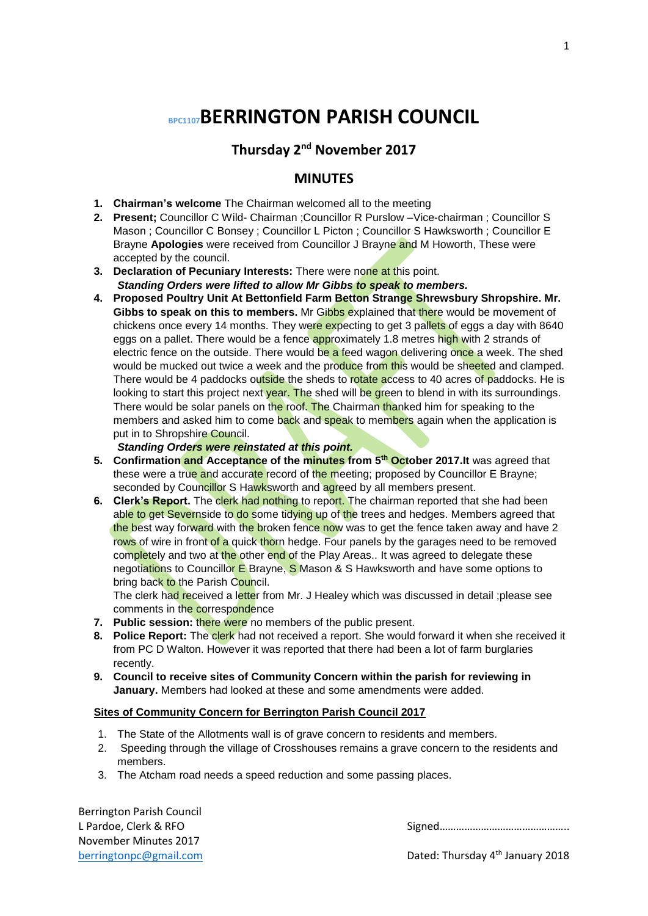# **BPC1107BERRINGTON PARISH COUNCIL**

**Thursday 2nd November 2017**

## **MINUTES**

- **1. Chairman's welcome** The Chairman welcomed all to the meeting
- **2. Present;** Councillor C Wild- Chairman ;Councillor R Purslow –Vice-chairman ; Councillor S Mason ; Councillor C Bonsey ; Councillor L Picton ; Councillor S Hawksworth ; Councillor E Brayne **Apologies** were received from Councillor J Brayne and M Howorth, These were accepted by the council.
- **3. Declaration of Pecuniary Interests:** There were none at this point. *Standing Orders were lifted to allow Mr Gibbs to speak to members.*
- **4. Proposed Poultry Unit At Bettonfield Farm Betton Strange Shrewsbury Shropshire. Mr. Gibbs to speak on this to members.** Mr Gibbs explained that there would be movement of chickens once every 14 months. They were expecting to get 3 pallets of eggs a day with 8640 eggs on a pallet. There would be a fence approximately 1.8 metres high with 2 strands of electric fence on the outside. There would be a feed wagon delivering once a week. The shed would be mucked out twice a week and the produce from this would be sheeted and clamped. There would be 4 paddocks outside the sheds to rotate access to 40 acres of paddocks. He is looking to start this project next year. The shed will be green to blend in with its surroundings. There would be solar panels on the roof. The Chairman thanked him for speaking to the members and asked him to come back and speak to members again when the application is put in to Shropshire Council.

## *Standing Orders were reinstated at this point.*

- **5. Confirmation and Acceptance of the minutes from 5th October 2017.It** was agreed that these were a true and accurate record of the meeting; proposed by Councillor E Brayne; seconded by Councillor S Hawksworth and agreed by all members present.
- **6. Clerk's Report.** The clerk had nothing to report. The chairman reported that she had been able to get Severnside to do some tidying up of the trees and hedges. Members agreed that the best way forward with the broken fence now was to get the fence taken away and have 2 rows of wire in front of a quick thorn hedge. Four panels by the garages need to be removed completely and two at the other end of the Play Areas.. It was agreed to delegate these negotiations to Councillor E Brayne, S Mason & S Hawksworth and have some options to bring back to the Parish Council.

The clerk had received a letter from Mr. J Healey which was discussed in detail ;please see comments in the correspondence

- **7. Public session:** there were no members of the public present.
- 8. **Police Report:** The clerk had not received a report. She would forward it when she received it from PC D Walton. However it was reported that there had been a lot of farm burglaries recently.
- **9. Council to receive sites of Community Concern within the parish for reviewing in January.** Members had looked at these and some amendments were added.

### **Sites of Community Concern for Berrington Parish Council 2017**

- 1. The State of the Allotments wall is of grave concern to residents and members.
- 2. Speeding through the village of Crosshouses remains a grave concern to the residents and members.
- 3. The Atcham road needs a speed reduction and some passing places.

Berrington Parish Council November Minutes 2017

L Pardoe, Clerk & RFO Signed 2008 Signed 2008 Signed 2008 Signed 2008 Signed 2008 Signed 2008 Signed 2008 Signed 2008 Signed 2008 Signed 2008 Signed 2008 Signed 2008 Signed 2008 Signed 2008 Signed 2008 Signed 2008 Signed 2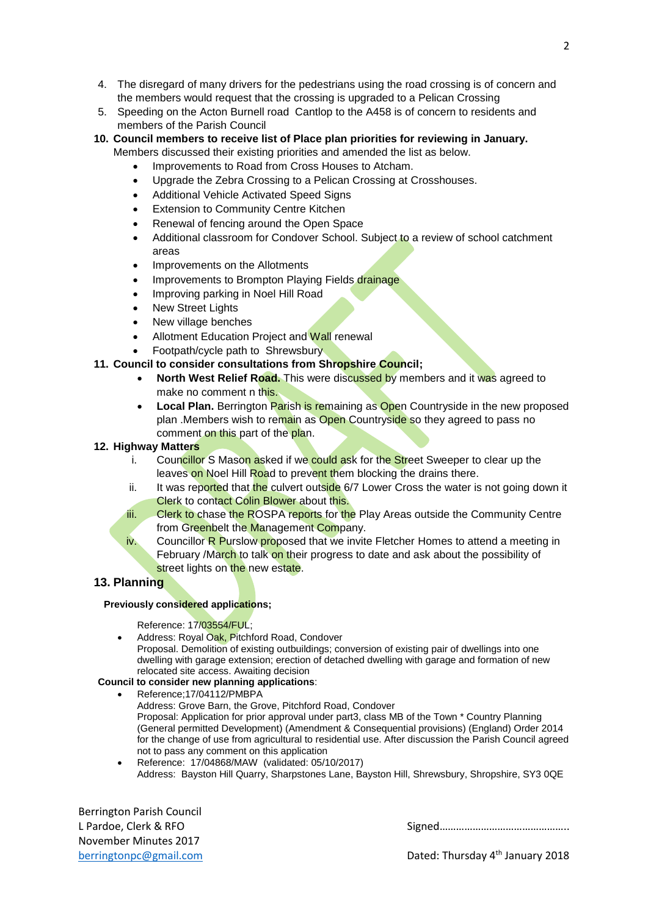- 4. The disregard of many drivers for the pedestrians using the road crossing is of concern and the members would request that the crossing is upgraded to a Pelican Crossing
- 5. Speeding on the Acton Burnell road Cantlop to the A458 is of concern to residents and members of the Parish Council
- **10. Council members to receive list of Place plan priorities for reviewing in January.** Members discussed their existing priorities and amended the list as below.
	- Improvements to Road from Cross Houses to Atcham.
	- Upgrade the Zebra Crossing to a Pelican Crossing at Crosshouses.
	- Additional Vehicle Activated Speed Signs
	- Extension to Community Centre Kitchen
	- Renewal of fencing around the Open Space
	- Additional classroom for Condover School. Subject to a review of school catchment areas
	- Improvements on the Allotments
	- Improvements to Brompton Playing Fields drainage
	- Improving parking in Noel Hill Road
	- New Street Lights
	- New village benches
	- Allotment Education Project and Wall renewal
	- Footpath/cycle path to Shrewsbury

### **11. Council to consider consultations from Shropshire Council;**

- **North West Relief Road.** This were discussed by members and it was agreed to make no comment n this.
- **Local Plan.** Berrington Parish is remaining as Open Countryside in the new proposed plan .Members wish to remain as Open Countryside so they agreed to pass no comment on this part of the plan.

#### **12. Highway Matters**

- i. Councillor S Mason asked if we could ask for the Street Sweeper to clear up the leaves on Noel Hill Road to prevent them blocking the drains there.
- ii. It was reported that the culvert outside 6/7 Lower Cross the water is not going down it Clerk to contact Colin Blower about this.
- iii. Clerk to chase the ROSPA reports for the Play Areas outside the Community Centre from Greenbelt the Management Company.
- iv. Councillor R Purslow proposed that we invite Fletcher Homes to attend a meeting in February /March to talk on their progress to date and ask about the possibility of street lights on the new estate.

## **13. Planning**

#### **Previously considered applications;**

Reference: 17/03554/FUL;

 Address: Royal Oak, Pitchford Road, Condover Proposal. Demolition of existing outbuildings; conversion of existing pair of dwellings into one dwelling with garage extension; erection of detached dwelling with garage and formation of new relocated site access. Awaiting decision

## **Council to consider new planning applications**:

- Reference;17/04112/PMBPA
	- Address: Grove Barn, the Grove, Pitchford Road, Condover Proposal: Application for prior approval under part3, class MB of the Town \* Country Planning (General permitted Development) (Amendment & Consequential provisions) (England) Order 2014 for the change of use from agricultural to residential use. After discussion the Parish Council agreed not to pass any comment on this application
	- Reference: 17/04868/MAW (validated: 05/10/2017) Address: Bayston Hill Quarry, Sharpstones Lane, Bayston Hill, Shrewsbury, Shropshire, SY3 0QE

Berrington Parish Council November Minutes 2017

L Pardoe, Clerk & RFO Signed………………………………………..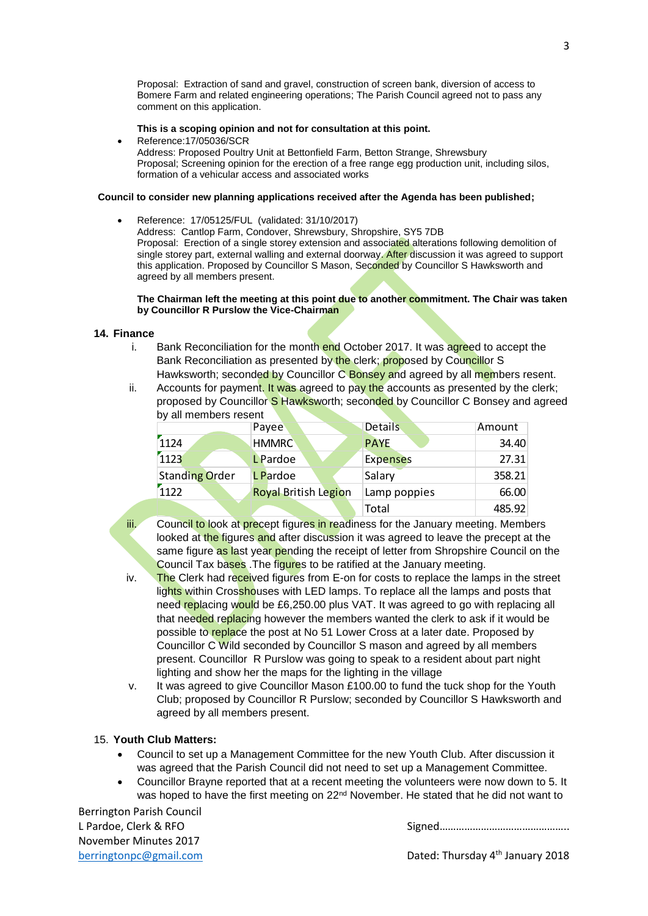Proposal: Extraction of sand and gravel, construction of screen bank, diversion of access to Bomere Farm and related engineering operations; The Parish Council agreed not to pass any comment on this application.

#### **This is a scoping opinion and not for consultation at this point.**

 Reference:17/05036/SCR Address: Proposed Poultry Unit at Bettonfield Farm, Betton Strange, Shrewsbury Proposal; Screening opinion for the erection of a free range egg production unit, including silos, formation of a vehicular access and associated works

#### **Council to consider new planning applications received after the Agenda has been published;**

 Reference: 17/05125/FUL (validated: 31/10/2017) Address: Cantlop Farm, Condover, Shrewsbury, Shropshire, SY5 7DB Proposal: Erection of a single storey extension and associated alterations following demolition of single storey part, external walling and external doorway. After discussion it was agreed to support this application. Proposed by Councillor S Mason, Seconded by Councillor S Hawksworth and agreed by all members present.

#### **The Chairman left the meeting at this point due to another commitment. The Chair was taken by Councillor R Purslow the Vice-Chairman**

#### **14. Finance**

- i. Bank Reconciliation for the month end October 2017. It was agreed to accept the Bank Reconciliation as presented by the clerk; proposed by Councillor S Hawksworth; seconded by Councillor C Bonsey and agreed by all members resent.
- ii. Accounts for payment. It was agreed to pay the accounts as presented by the clerk; proposed by Councillor S Hawksworth; seconded by Councillor C Bonsey and agreed by all members resent

|                       | Payee                       | <b>Details</b>  | Amount |
|-----------------------|-----------------------------|-----------------|--------|
| 1124                  | <b>HMMRC</b>                | <b>PAYE</b>     | 34.40  |
| 1123                  | <b>L</b> Pardoe             | <b>Expenses</b> | 27.31  |
| <b>Standing Order</b> | L Pardoe                    | Salary          | 358.21 |
| 1122                  | <b>Royal British Legion</b> | Lamp poppies    | 66.00  |
|                       |                             | Total           | 485.92 |

- iii. Council to look at precept figures in readiness for the January meeting. Members looked at the figures and after discussion it was agreed to leave the precept at the same figure as last year pending the receipt of letter from Shropshire Council on the Council Tax bases. The figures to be ratified at the January meeting.
- iv. The Clerk had received figures from E-on for costs to replace the lamps in the street lights within Crosshouses with LED lamps. To replace all the lamps and posts that need replacing would be £6,250.00 plus VAT. It was agreed to go with replacing all that needed replacing however the members wanted the clerk to ask if it would be possible to replace the post at No 51 Lower Cross at a later date. Proposed by Councillor C Wild seconded by Councillor S mason and agreed by all members present. Councillor R Purslow was going to speak to a resident about part night lighting and show her the maps for the lighting in the village
- v. It was agreed to give Councillor Mason £100.00 to fund the tuck shop for the Youth Club; proposed by Councillor R Purslow; seconded by Councillor S Hawksworth and agreed by all members present.

## 15. **Youth Club Matters:**

- Council to set up a Management Committee for the new Youth Club. After discussion it was agreed that the Parish Council did not need to set up a Management Committee.
- Councillor Brayne reported that at a recent meeting the volunteers were now down to 5. It was hoped to have the first meeting on 22<sup>nd</sup> November. He stated that he did not want to

Berrington Parish Council November Minutes 2017

L Pardoe, Clerk & RFO Signed Controller and Signed Controller and Signed Controller and Signed Controller and Signed Controller and Signed Controller and Signed Controller and Signed Controller and Signed Controller and Si

3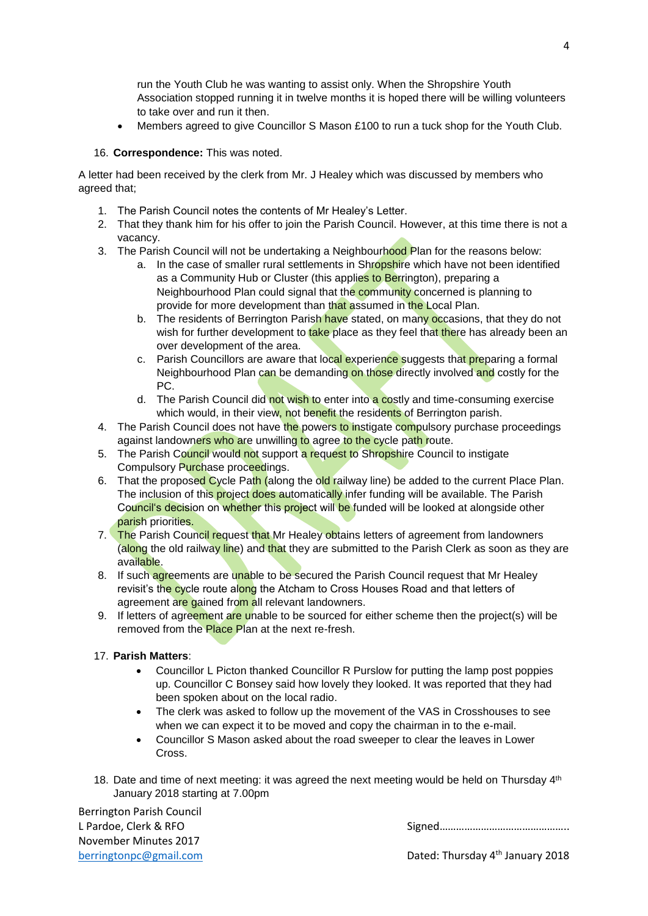run the Youth Club he was wanting to assist only. When the Shropshire Youth Association stopped running it in twelve months it is hoped there will be willing volunteers to take over and run it then.

Members agreed to give Councillor S Mason £100 to run a tuck shop for the Youth Club.

### 16. **Correspondence:** This was noted.

A letter had been received by the clerk from Mr. J Healey which was discussed by members who agreed that;

- 1. The Parish Council notes the contents of Mr Healey's Letter.
- 2. That they thank him for his offer to join the Parish Council. However, at this time there is not a vacancy.
- 3. The Parish Council will not be undertaking a Neighbourhood Plan for the reasons below:
	- a. In the case of smaller rural settlements in Shropshire which have not been identified as a Community Hub or Cluster (this applies to Berrington), preparing a Neighbourhood Plan could signal that the community concerned is planning to provide for more development than that assumed in the Local Plan.
	- b. The residents of Berrington Parish have stated, on many occasions, that they do not wish for further development to take place as they feel that there has already been an over development of the area.
	- c. Parish Councillors are aware that local experience suggests that preparing a formal Neighbourhood Plan can be demanding on those directly involved and costly for the PC.
	- d. The Parish Council did not wish to enter into a costly and time-consuming exercise which would, in their view, not benefit the residents of Berrington parish.
- 4. The Parish Council does not have the powers to instigate compulsory purchase proceedings against landowners who are unwilling to agree to the cycle path route.
- 5. The Parish Council would not support a request to Shropshire Council to instigate Compulsory Purchase proceedings.
- 6. That the proposed Cycle Path (along the old railway line) be added to the current Place Plan. The inclusion of this project does automatically infer funding will be available. The Parish Council's decision on whether this project will be funded will be looked at alongside other parish priorities.
- 7. The Parish Council request that Mr Healey obtains letters of agreement from landowners (along the old railway line) and that they are submitted to the Parish Clerk as soon as they are available.
- 8. If such agreements are unable to be secured the Parish Council request that Mr Healey revisit's the cycle route along the Atcham to Cross Houses Road and that letters of agreement are gained from all relevant landowners.
- 9. If letters of agreement are unable to be sourced for either scheme then the project(s) will be removed from the Place Plan at the next re-fresh.

### 17. **Parish Matters**:

- Councillor L Picton thanked Councillor R Purslow for putting the lamp post poppies up. Councillor C Bonsey said how lovely they looked. It was reported that they had been spoken about on the local radio.
- The clerk was asked to follow up the movement of the VAS in Crosshouses to see when we can expect it to be moved and copy the chairman in to the e-mail.
- Councillor S Mason asked about the road sweeper to clear the leaves in Lower Cross.
- 18. Date and time of next meeting: it was agreed the next meeting would be held on Thursday  $4<sup>th</sup>$ January 2018 starting at 7.00pm

Berrington Parish Council November Minutes 2017

L Pardoe, Clerk & RFO Signed Controller and Signed Controller and Signed Controller and Signed Controller and Signed Controller and Signed Controller and Signed Controller and Signed Controller and Signed Controller and Si